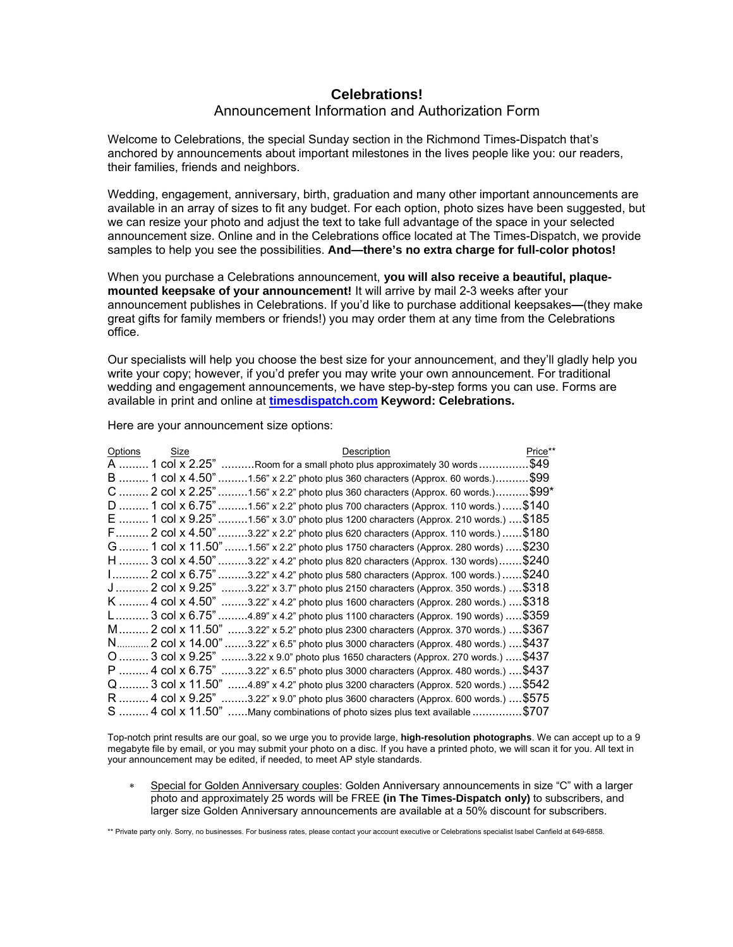## **Celebrations!**  Announcement Information and Authorization Form

Welcome to Celebrations, the special Sunday section in the Richmond Times-Dispatch that's anchored by announcements about important milestones in the lives people like you: our readers, their families, friends and neighbors.

Wedding, engagement, anniversary, birth, graduation and many other important announcements are available in an array of sizes to fit any budget. For each option, photo sizes have been suggested, but we can resize your photo and adjust the text to take full advantage of the space in your selected announcement size. Online and in the Celebrations office located at The Times-Dispatch, we provide samples to help you see the possibilities. **And—there's no extra charge for full-color photos!**

When you purchase a Celebrations announcement, **you will also receive a beautiful, plaquemounted keepsake of your announcement!** It will arrive by mail 2-3 weeks after your announcement publishes in Celebrations. If you'd like to purchase additional keepsakes**—**(they make great gifts for family members or friends!) you may order them at any time from the Celebrations office.

Our specialists will help you choose the best size for your announcement, and they'll gladly help you write your copy; however, if you'd prefer you may write your own announcement. For traditional wedding and engagement announcements, we have step-by-step forms you can use. Forms are available in print and online at **[timesdispatch.com](http://www2.timesdispatch.com/rtd/online/celebrations/) Keyword: Celebrations.**

| Options              | Size            | Description                                                                | Price** |
|----------------------|-----------------|----------------------------------------------------------------------------|---------|
| A                    | 1 col x 2.25"   | Room for a small photo plus approximately 30 words                         | .\$49   |
| B  1 col x 4.50"     |                 | $0.1.56$ " x 2.2" photo plus 360 characters (Approx. 60 words.)            | \$99.   |
| C  2 col x 2.25"     |                 | $.1.56"$ x 2.2" photo plus 360 characters (Approx. 60 words.)              | \$99*   |
| $D$ 1 col x 6.75"    |                 | \$140<br>$0.1.56$ " x 2.2" photo plus 700 characters (Approx. 110 words.)  |         |
| E  1 col x 9.25"     |                 | .1.56" x 3.0" photo plus 1200 characters (Approx. 210 words.)  \$185       |         |
| F 2 col x 4.50"      |                 | \$180<br>$.3.22$ " x 2.2" photo plus 620 characters (Approx. 110 words.)   |         |
| G……… 1 col x 11.50". |                 | .\$230<br>.1.56" x 2.2" photo plus 1750 characters (Approx. 280 words)     |         |
| H  3 col x 4.50"     |                 | \$240<br>$0.3.22$ " x 4.2" photo plus 820 characters (Approx. 130 words)   |         |
|                      |                 | .\$240<br>$0.3.22$ " x 4.2" photo plus 580 characters (Approx. 100 words.) |         |
| J  2 col x 9.25"     |                 | 3.22" x 3.7" photo plus 2150 characters (Approx. 350 words.)  \$318        |         |
| K  4 col x 4.50"     |                 | .3.22" x 4.2" photo plus 1600 characters (Approx. 280 words.)  \$318       |         |
| L3 col x 6.75"       |                 | $0.4.89$ " x 4.2" photo plus 1100 characters (Approx. 190 words)  \$359    |         |
| M 2 col x 11.50"     |                 | …3.22" x 5.2" photo plus 2300 characters (Approx. 370 words.) …. \$367     |         |
| N…….                 | 2 col x 14.00". | 3.22" x 6.5" photo plus 3000 characters (Approx. 480 words.)  \$437        |         |
| $O$ 3 col x 9.25"    |                 | .3.22 x 9.0" photo plus 1650 characters (Approx. 270 words.)  \$437        |         |
| P  4 col x 6.75"     |                 | 3.22" x 6.5" photo plus 3000 characters (Approx. 480 words.)  \$437        |         |
| Q  3 col x 11.50"    |                 | 4.89" x 4.2" photo plus 3200 characters (Approx. 520 words.)  \$542        |         |
| R  4 col x 9.25"     |                 | .3.22" x 9.0" photo plus 3600 characters (Approx. 600 words.)  \$575       |         |
| S  4 col x 11.50"    |                 | \$707<br>Many combinations of photo sizes plus text available.             |         |

Here are your announcement size options:

Top-notch print results are our goal, so we urge you to provide large, **high-resolution photographs**. We can accept up to a 9 megabyte file by email, or you may submit your photo on a disc. If you have a printed photo, we will scan it for you. All text in your announcement may be edited, if needed, to meet AP style standards.

Special for Golden Anniversary couples: Golden Anniversary announcements in size "C" with a larger photo and approximately 25 words will be FREE **(in The Times-Dispatch only)** to subscribers, and larger size Golden Anniversary announcements are available at a 50% discount for subscribers.

\*\* Private party only. Sorry, no businesses. For business rates, please contact your account executive or Celebrations specialist Isabel Canfield at 649-6858.